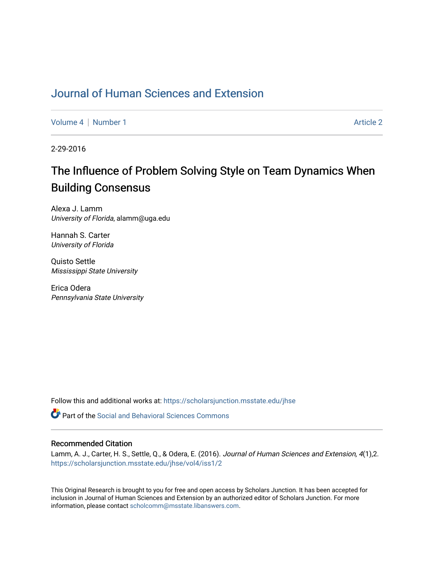# [Journal of Human Sciences and Extension](https://scholarsjunction.msstate.edu/jhse)

[Volume 4](https://scholarsjunction.msstate.edu/jhse/vol4) | [Number 1](https://scholarsjunction.msstate.edu/jhse/vol4/iss1) Article 2

2-29-2016

# The Influence of Problem Solving Style on Team Dynamics When Building Consensus

Alexa J. Lamm University of Florida, alamm@uga.edu

Hannah S. Carter University of Florida

Quisto Settle Mississippi State University

Erica Odera Pennsylvania State University

Follow this and additional works at: [https://scholarsjunction.msstate.edu/jhse](https://scholarsjunction.msstate.edu/jhse?utm_source=scholarsjunction.msstate.edu%2Fjhse%2Fvol4%2Fiss1%2F2&utm_medium=PDF&utm_campaign=PDFCoverPages)

**C** Part of the Social and Behavioral Sciences Commons

#### Recommended Citation

Lamm, A. J., Carter, H. S., Settle, Q., & Odera, E. (2016). Journal of Human Sciences and Extension, 4(1), 2. [https://scholarsjunction.msstate.edu/jhse/vol4/iss1/2](https://scholarsjunction.msstate.edu/jhse/vol4/iss1/2?utm_source=scholarsjunction.msstate.edu%2Fjhse%2Fvol4%2Fiss1%2F2&utm_medium=PDF&utm_campaign=PDFCoverPages)

This Original Research is brought to you for free and open access by Scholars Junction. It has been accepted for inclusion in Journal of Human Sciences and Extension by an authorized editor of Scholars Junction. For more information, please contact [scholcomm@msstate.libanswers.com](mailto:scholcomm@msstate.libanswers.com).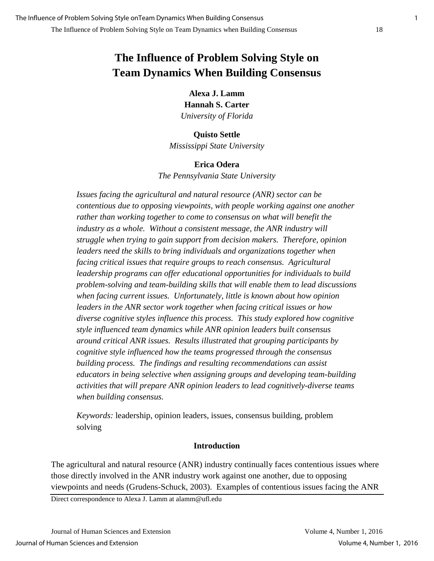**Alexa J. Lamm** 

**Hannah S. Carter**  *University of Florida* 

# **Quisto Settle**

*Mississippi State University* 

## **Erica Odera**

*The Pennsylvania State University* 

*Issues facing the agricultural and natural resource (ANR) sector can be contentious due to opposing viewpoints, with people working against one another*  rather than working together to come to consensus on what will benefit the *industry as a whole. Without a consistent message, the ANR industry will struggle when trying to gain support from decision makers. Therefore, opinion leaders need the skills to bring individuals and organizations together when facing critical issues that require groups to reach consensus. Agricultural leadership programs can offer educational opportunities for individuals to build problem-solving and team-building skills that will enable them to lead discussions when facing current issues. Unfortunately, little is known about how opinion leaders in the ANR sector work together when facing critical issues or how diverse cognitive styles influence this process. This study explored how cognitive style influenced team dynamics while ANR opinion leaders built consensus around critical ANR issues. Results illustrated that grouping participants by cognitive style influenced how the teams progressed through the consensus building process. The findings and resulting recommendations can assist educators in being selective when assigning groups and developing team-building activities that will prepare ANR opinion leaders to lead cognitively-diverse teams when building consensus.* 

*Keywords:* leadership, opinion leaders, issues, consensus building, problem solving

## **Introduction**

The agricultural and natural resource (ANR) industry continually faces contentious issues where those directly involved in the ANR industry work against one another, due to opposing viewpoints and needs (Grudens-Schuck, 2003). Examples of contentious issues facing the ANR

Direct correspondence to Alexa J. Lamm at alamm@ufl.edu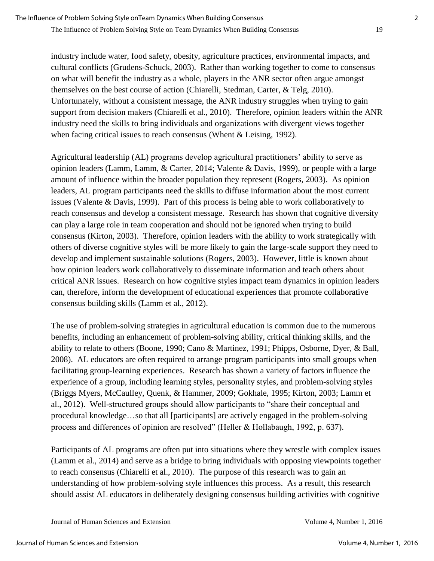industry include water, food safety, obesity, agriculture practices, environmental impacts, and cultural conflicts (Grudens-Schuck, 2003). Rather than working together to come to consensus on what will benefit the industry as a whole, players in the ANR sector often argue amongst themselves on the best course of action (Chiarelli, Stedman, Carter, & Telg, 2010). Unfortunately, without a consistent message, the ANR industry struggles when trying to gain support from decision makers (Chiarelli et al., 2010). Therefore, opinion leaders within the ANR industry need the skills to bring individuals and organizations with divergent views together when facing critical issues to reach consensus (Whent & Leising, 1992).

Agricultural leadership (AL) programs develop agricultural practitioners' ability to serve as opinion leaders (Lamm, Lamm, & Carter, 2014; Valente & Davis, 1999), or people with a large amount of influence within the broader population they represent (Rogers, 2003). As opinion leaders, AL program participants need the skills to diffuse information about the most current issues (Valente & Davis, 1999). Part of this process is being able to work collaboratively to reach consensus and develop a consistent message. Research has shown that cognitive diversity can play a large role in team cooperation and should not be ignored when trying to build consensus (Kirton, 2003). Therefore, opinion leaders with the ability to work strategically with others of diverse cognitive styles will be more likely to gain the large-scale support they need to develop and implement sustainable solutions (Rogers, 2003). However, little is known about how opinion leaders work collaboratively to disseminate information and teach others about critical ANR issues. Research on how cognitive styles impact team dynamics in opinion leaders can, therefore, inform the development of educational experiences that promote collaborative consensus building skills (Lamm et al., 2012).

The use of problem-solving strategies in agricultural education is common due to the numerous benefits, including an enhancement of problem-solving ability, critical thinking skills, and the ability to relate to others (Boone, 1990; Cano & Martinez, 1991; Phipps, Osborne, Dyer, & Ball, 2008). AL educators are often required to arrange program participants into small groups when facilitating group-learning experiences. Research has shown a variety of factors influence the experience of a group, including learning styles, personality styles, and problem-solving styles (Briggs Myers, McCaulley, Quenk, & Hammer, 2009; Gokhale, 1995; Kirton, 2003; Lamm et al., 2012). Well-structured groups should allow participants to "share their conceptual and procedural knowledge…so that all [participants] are actively engaged in the problem-solving process and differences of opinion are resolved" (Heller & Hollabaugh, 1992, p. 637).

Participants of AL programs are often put into situations where they wrestle with complex issues (Lamm et al., 2014) and serve as a bridge to bring individuals with opposing viewpoints together to reach consensus (Chiarelli et al., 2010). The purpose of this research was to gain an understanding of how problem-solving style influences this process. As a result, this research should assist AL educators in deliberately designing consensus building activities with cognitive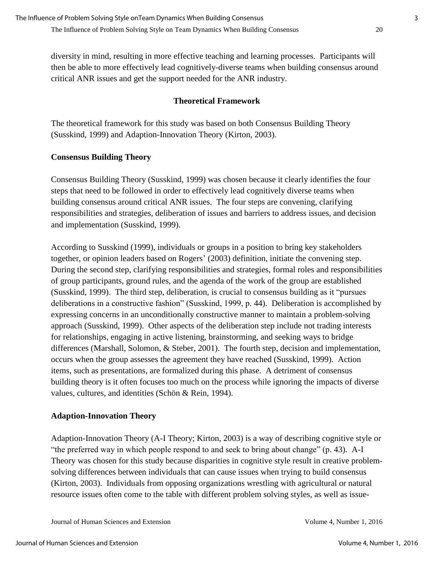diversity in mind, resulting in more effective teaching and learning processes. Participants will then be able to more effectively lead cognitively-diverse teams when building consensus around critical ANR issues and get the support needed for the ANR industry.

# **Theoretical Framework**

The theoretical framework for this study was based on both Consensus Building Theory (Susskind, 1999) and Adaption-Innovation Theory (Kirton, 2003).

## **Consensus Building Theory**

Consensus Building Theory (Susskind, 1999) was chosen because it clearly identifies the four steps that need to be followed in order to effectively lead cognitively diverse teams when building consensus around critical ANR issues. The four steps are convening, clarifying responsibilities and strategies, deliberation of issues and barriers to address issues, and decision and implementation (Susskind, 1999).

According to Susskind (1999), individuals or groups in a position to bring key stakeholders together, or opinion leaders based on Rogers' (2003) definition, initiate the convening step. During the second step, clarifying responsibilities and strategies, formal roles and responsibilities of group participants, ground rules, and the agenda of the work of the group are established (Susskind, 1999). The third step, deliberation, is crucial to consensus building as it "pursues deliberations in a constructive fashion" (Susskind, 1999, p. 44). Deliberation is accomplished by expressing concerns in an unconditionally constructive manner to maintain a problem-solving approach (Susskind, 1999). Other aspects of the deliberation step include not trading interests for relationships, engaging in active listening, brainstorming, and seeking ways to bridge differences (Marshall, Solomon, & Steber, 2001). The fourth step, decision and implementation, occurs when the group assesses the agreement they have reached (Susskind, 1999). Action items, such as presentations, are formalized during this phase. A detriment of consensus building theory is it often focuses too much on the process while ignoring the impacts of diverse values, cultures, and identities (Schön & Rein, 1994).

# **Adaption-Innovation Theory**

Adaption-Innovation Theory (A-I Theory; Kirton, 2003) is a way of describing cognitive style or "the preferred way in which people respond to and seek to bring about change" (p. 43). A-I Theory was chosen for this study because disparities in cognitive style result in creative problemsolving differences between individuals that can cause issues when trying to build consensus (Kirton, 2003). Individuals from opposing organizations wrestling with agricultural or natural resource issues often come to the table with different problem solving styles, as well as issue-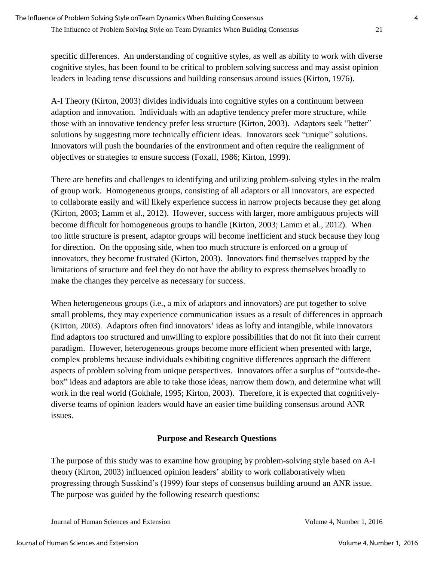specific differences. An understanding of cognitive styles, as well as ability to work with diverse cognitive styles, has been found to be critical to problem solving success and may assist opinion leaders in leading tense discussions and building consensus around issues (Kirton, 1976).

A-I Theory (Kirton, 2003) divides individuals into cognitive styles on a continuum between adaption and innovation. Individuals with an adaptive tendency prefer more structure, while those with an innovative tendency prefer less structure (Kirton, 2003). Adaptors seek "better" solutions by suggesting more technically efficient ideas. Innovators seek "unique" solutions. Innovators will push the boundaries of the environment and often require the realignment of objectives or strategies to ensure success (Foxall, 1986; Kirton, 1999).

There are benefits and challenges to identifying and utilizing problem-solving styles in the realm of group work. Homogeneous groups, consisting of all adaptors or all innovators, are expected to collaborate easily and will likely experience success in narrow projects because they get along (Kirton, 2003; Lamm et al., 2012). However, success with larger, more ambiguous projects will become difficult for homogeneous groups to handle (Kirton, 2003; Lamm et al., 2012). When too little structure is present, adaptor groups will become inefficient and stuck because they long for direction. On the opposing side, when too much structure is enforced on a group of innovators, they become frustrated (Kirton, 2003). Innovators find themselves trapped by the limitations of structure and feel they do not have the ability to express themselves broadly to make the changes they perceive as necessary for success.

When heterogeneous groups (i.e., a mix of adaptors and innovators) are put together to solve small problems, they may experience communication issues as a result of differences in approach (Kirton, 2003). Adaptors often find innovators' ideas as lofty and intangible, while innovators find adaptors too structured and unwilling to explore possibilities that do not fit into their current paradigm. However, heterogeneous groups become more efficient when presented with large, complex problems because individuals exhibiting cognitive differences approach the different aspects of problem solving from unique perspectives. Innovators offer a surplus of "outside-thebox" ideas and adaptors are able to take those ideas, narrow them down, and determine what will work in the real world (Gokhale, 1995; Kirton, 2003). Therefore, it is expected that cognitivelydiverse teams of opinion leaders would have an easier time building consensus around ANR issues.

# **Purpose and Research Questions**

The purpose of this study was to examine how grouping by problem-solving style based on A-I theory (Kirton, 2003) influenced opinion leaders' ability to work collaboratively when progressing through Susskind's (1999) four steps of consensus building around an ANR issue. The purpose was guided by the following research questions: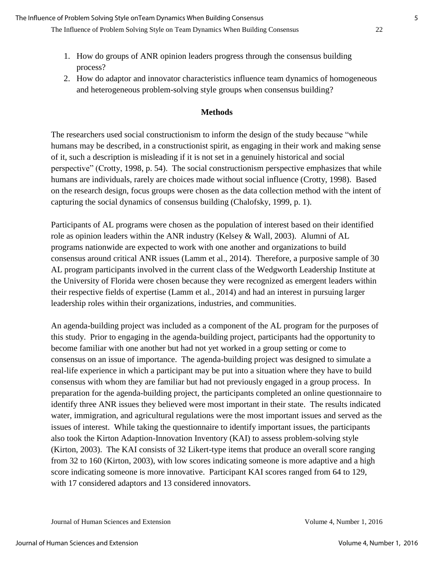- 1. How do groups of ANR opinion leaders progress through the consensus building process?
- 2. How do adaptor and innovator characteristics influence team dynamics of homogeneous and heterogeneous problem-solving style groups when consensus building?

### **Methods**

The researchers used social constructionism to inform the design of the study because "while humans may be described, in a constructionist spirit, as engaging in their work and making sense of it, such a description is misleading if it is not set in a genuinely historical and social perspective" (Crotty, 1998, p. 54). The social constructionism perspective emphasizes that while humans are individuals, rarely are choices made without social influence (Crotty, 1998). Based on the research design, focus groups were chosen as the data collection method with the intent of capturing the social dynamics of consensus building (Chalofsky, 1999, p. 1).

Participants of AL programs were chosen as the population of interest based on their identified role as opinion leaders within the ANR industry (Kelsey & Wall, 2003). Alumni of AL programs nationwide are expected to work with one another and organizations to build consensus around critical ANR issues (Lamm et al., 2014). Therefore, a purposive sample of 30 AL program participants involved in the current class of the Wedgworth Leadership Institute at the University of Florida were chosen because they were recognized as emergent leaders within their respective fields of expertise (Lamm et al., 2014) and had an interest in pursuing larger leadership roles within their organizations, industries, and communities.

An agenda-building project was included as a component of the AL program for the purposes of this study. Prior to engaging in the agenda-building project, participants had the opportunity to become familiar with one another but had not yet worked in a group setting or come to consensus on an issue of importance. The agenda-building project was designed to simulate a real-life experience in which a participant may be put into a situation where they have to build consensus with whom they are familiar but had not previously engaged in a group process. In preparation for the agenda-building project, the participants completed an online questionnaire to identify three ANR issues they believed were most important in their state. The results indicated water, immigration, and agricultural regulations were the most important issues and served as the issues of interest. While taking the questionnaire to identify important issues, the participants also took the Kirton Adaption-Innovation Inventory (KAI) to assess problem-solving style (Kirton, 2003). The KAI consists of 32 Likert-type items that produce an overall score ranging from 32 to 160 (Kirton, 2003), with low scores indicating someone is more adaptive and a high score indicating someone is more innovative. Participant KAI scores ranged from 64 to 129, with 17 considered adaptors and 13 considered innovators.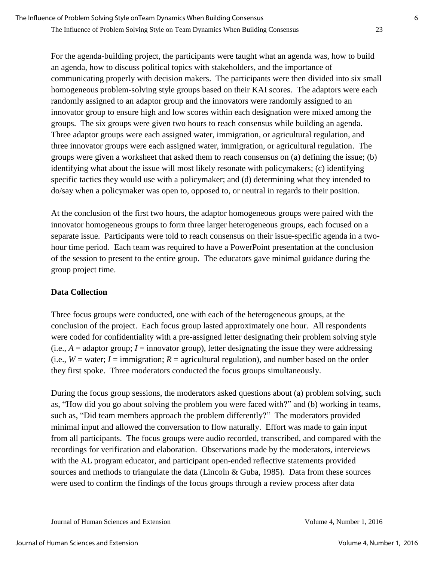For the agenda-building project, the participants were taught what an agenda was, how to build an agenda, how to discuss political topics with stakeholders, and the importance of communicating properly with decision makers. The participants were then divided into six small homogeneous problem-solving style groups based on their KAI scores. The adaptors were each randomly assigned to an adaptor group and the innovators were randomly assigned to an innovator group to ensure high and low scores within each designation were mixed among the groups. The six groups were given two hours to reach consensus while building an agenda. Three adaptor groups were each assigned water, immigration, or agricultural regulation, and three innovator groups were each assigned water, immigration, or agricultural regulation. The groups were given a worksheet that asked them to reach consensus on (a) defining the issue; (b) identifying what about the issue will most likely resonate with policymakers; (c) identifying specific tactics they would use with a policymaker; and (d) determining what they intended to do/say when a policymaker was open to, opposed to, or neutral in regards to their position.

At the conclusion of the first two hours, the adaptor homogeneous groups were paired with the innovator homogeneous groups to form three larger heterogeneous groups, each focused on a separate issue. Participants were told to reach consensus on their issue-specific agenda in a twohour time period. Each team was required to have a PowerPoint presentation at the conclusion of the session to present to the entire group. The educators gave minimal guidance during the group project time.

# **Data Collection**

Three focus groups were conducted, one with each of the heterogeneous groups, at the conclusion of the project. Each focus group lasted approximately one hour. All respondents were coded for confidentiality with a pre-assigned letter designating their problem solving style  $(i.e., A = ad$ aptor group;  $I =$  innovator group), letter designating the issue they were addressing (i.e.,  $W =$  water;  $I =$  immigration;  $R =$  agricultural regulation), and number based on the order they first spoke. Three moderators conducted the focus groups simultaneously.

During the focus group sessions, the moderators asked questions about (a) problem solving, such as, "How did you go about solving the problem you were faced with?" and (b) working in teams, such as, "Did team members approach the problem differently?" The moderators provided minimal input and allowed the conversation to flow naturally. Effort was made to gain input from all participants. The focus groups were audio recorded, transcribed, and compared with the recordings for verification and elaboration. Observations made by the moderators, interviews with the AL program educator, and participant open-ended reflective statements provided sources and methods to triangulate the data (Lincoln & Guba, 1985). Data from these sources were used to confirm the findings of the focus groups through a review process after data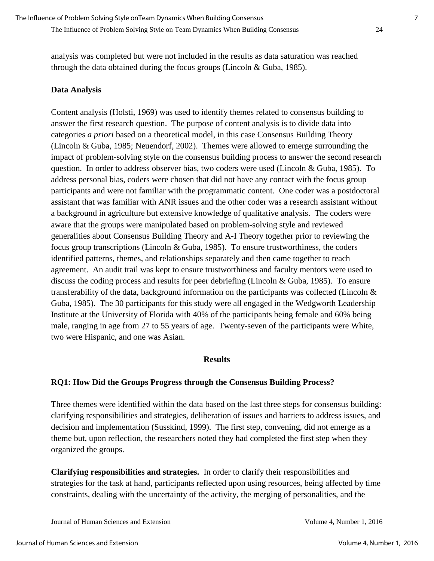analysis was completed but were not included in the results as data saturation was reached through the data obtained during the focus groups (Lincoln & Guba, 1985).

### **Data Analysis**

Content analysis (Holsti, 1969) was used to identify themes related to consensus building to answer the first research question. The purpose of content analysis is to divide data into categories *a priori* based on a theoretical model, in this case Consensus Building Theory (Lincoln & Guba, 1985; Neuendorf, 2002). Themes were allowed to emerge surrounding the impact of problem-solving style on the consensus building process to answer the second research question. In order to address observer bias, two coders were used (Lincoln & Guba, 1985). To address personal bias, coders were chosen that did not have any contact with the focus group participants and were not familiar with the programmatic content. One coder was a postdoctoral assistant that was familiar with ANR issues and the other coder was a research assistant without a background in agriculture but extensive knowledge of qualitative analysis. The coders were aware that the groups were manipulated based on problem-solving style and reviewed generalities about Consensus Building Theory and A-I Theory together prior to reviewing the focus group transcriptions (Lincoln & Guba, 1985). To ensure trustworthiness, the coders identified patterns, themes, and relationships separately and then came together to reach agreement. An audit trail was kept to ensure trustworthiness and faculty mentors were used to discuss the coding process and results for peer debriefing (Lincoln & Guba, 1985). To ensure transferability of the data, background information on the participants was collected (Lincoln & Guba, 1985). The 30 participants for this study were all engaged in the Wedgworth Leadership Institute at the University of Florida with 40% of the participants being female and 60% being male, ranging in age from 27 to 55 years of age. Twenty-seven of the participants were White, two were Hispanic, and one was Asian.

#### **Results**

## **RQ1: How Did the Groups Progress through the Consensus Building Process?**

Three themes were identified within the data based on the last three steps for consensus building: clarifying responsibilities and strategies, deliberation of issues and barriers to address issues, and decision and implementation (Susskind, 1999). The first step, convening, did not emerge as a theme but, upon reflection, the researchers noted they had completed the first step when they organized the groups.

**Clarifying responsibilities and strategies.** In order to clarify their responsibilities and strategies for the task at hand, participants reflected upon using resources, being affected by time constraints, dealing with the uncertainty of the activity, the merging of personalities, and the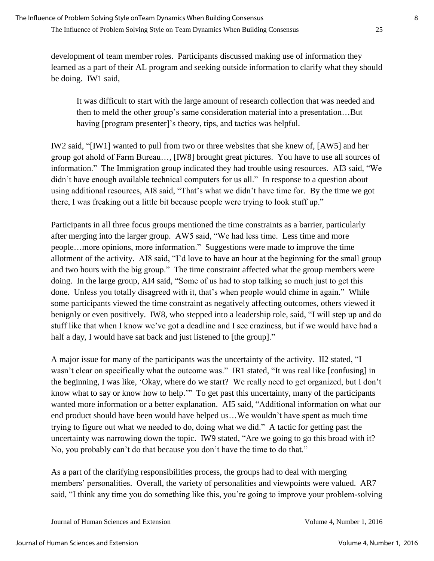development of team member roles. Participants discussed making use of information they learned as a part of their AL program and seeking outside information to clarify what they should be doing. IW1 said,

It was difficult to start with the large amount of research collection that was needed and then to meld the other group's same consideration material into a presentation…But having [program presenter]'s theory, tips, and tactics was helpful.

IW2 said, "[IW1] wanted to pull from two or three websites that she knew of, [AW5] and her group got ahold of Farm Bureau…, [IW8] brought great pictures. You have to use all sources of information." The Immigration group indicated they had trouble using resources. AI3 said, "We didn't have enough available technical computers for us all." In response to a question about using additional resources, AI8 said, "That's what we didn't have time for. By the time we got there, I was freaking out a little bit because people were trying to look stuff up."

Participants in all three focus groups mentioned the time constraints as a barrier, particularly after merging into the larger group. AW5 said, "We had less time. Less time and more people…more opinions, more information." Suggestions were made to improve the time allotment of the activity. AI8 said, "I'd love to have an hour at the beginning for the small group and two hours with the big group." The time constraint affected what the group members were doing. In the large group, AI4 said, "Some of us had to stop talking so much just to get this done. Unless you totally disagreed with it, that's when people would chime in again." While some participants viewed the time constraint as negatively affecting outcomes, others viewed it benignly or even positively. IW8, who stepped into a leadership role, said, "I will step up and do stuff like that when I know we've got a deadline and I see craziness, but if we would have had a half a day, I would have sat back and just listened to [the group]."

A major issue for many of the participants was the uncertainty of the activity. II2 stated, "I wasn't clear on specifically what the outcome was." IR1 stated, "It was real like [confusing] in the beginning, I was like, 'Okay, where do we start? We really need to get organized, but I don't know what to say or know how to help.'" To get past this uncertainty, many of the participants wanted more information or a better explanation. AI5 said, "Additional information on what our end product should have been would have helped us…We wouldn't have spent as much time trying to figure out what we needed to do, doing what we did." A tactic for getting past the uncertainty was narrowing down the topic. IW9 stated, "Are we going to go this broad with it? No, you probably can't do that because you don't have the time to do that."

As a part of the clarifying responsibilities process, the groups had to deal with merging members' personalities. Overall, the variety of personalities and viewpoints were valued. AR7 said, "I think any time you do something like this, you're going to improve your problem-solving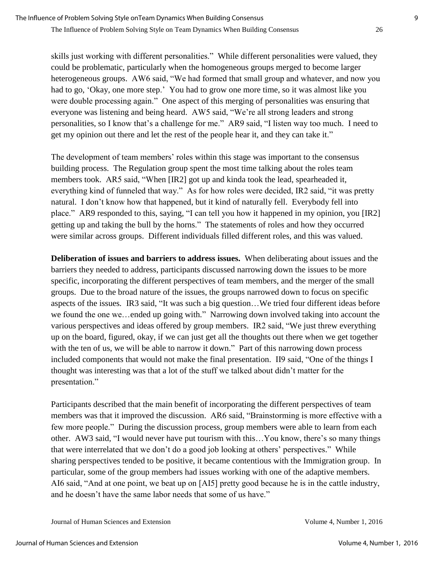skills just working with different personalities." While different personalities were valued, they could be problematic, particularly when the homogeneous groups merged to become larger heterogeneous groups. AW6 said, "We had formed that small group and whatever, and now you had to go, 'Okay, one more step.' You had to grow one more time, so it was almost like you were double processing again." One aspect of this merging of personalities was ensuring that everyone was listening and being heard. AW5 said, "We're all strong leaders and strong personalities, so I know that's a challenge for me." AR9 said, "I listen way too much. I need to get my opinion out there and let the rest of the people hear it, and they can take it."

The development of team members' roles within this stage was important to the consensus building process. The Regulation group spent the most time talking about the roles team members took. AR5 said, "When [IR2] got up and kinda took the lead, spearheaded it, everything kind of funneled that way." As for how roles were decided, IR2 said, "it was pretty natural. I don't know how that happened, but it kind of naturally fell. Everybody fell into place." AR9 responded to this, saying, "I can tell you how it happened in my opinion, you [IR2] getting up and taking the bull by the horns." The statements of roles and how they occurred were similar across groups. Different individuals filled different roles, and this was valued.

**Deliberation of issues and barriers to address issues.** When deliberating about issues and the barriers they needed to address, participants discussed narrowing down the issues to be more specific, incorporating the different perspectives of team members, and the merger of the small groups. Due to the broad nature of the issues, the groups narrowed down to focus on specific aspects of the issues*.* IR3 said, "It was such a big question…We tried four different ideas before we found the one we…ended up going with." Narrowing down involved taking into account the various perspectives and ideas offered by group members. IR2 said, "We just threw everything up on the board, figured, okay, if we can just get all the thoughts out there when we get together with the ten of us, we will be able to narrow it down." Part of this narrowing down process included components that would not make the final presentation. II9 said, "One of the things I thought was interesting was that a lot of the stuff we talked about didn't matter for the presentation."

Participants described that the main benefit of incorporating the different perspectives of team members was that it improved the discussion. AR6 said, "Brainstorming is more effective with a few more people." During the discussion process, group members were able to learn from each other. AW3 said, "I would never have put tourism with this…You know, there's so many things that were interrelated that we don't do a good job looking at others' perspectives." While sharing perspectives tended to be positive, it became contentious with the Immigration group. In particular, some of the group members had issues working with one of the adaptive members. AI6 said, "And at one point, we beat up on [AI5] pretty good because he is in the cattle industry, and he doesn't have the same labor needs that some of us have."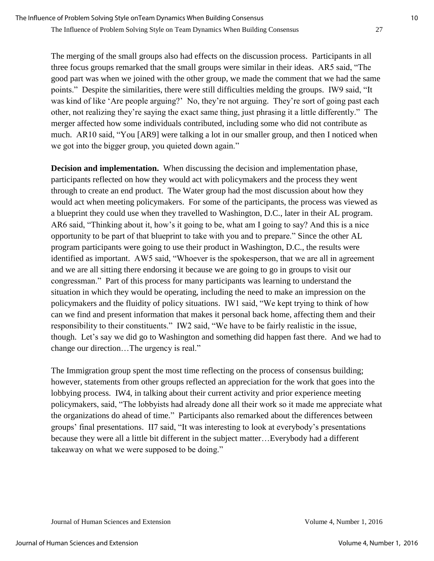The merging of the small groups also had effects on the discussion process. Participants in all three focus groups remarked that the small groups were similar in their ideas. AR5 said, "The good part was when we joined with the other group, we made the comment that we had the same points." Despite the similarities, there were still difficulties melding the groups. IW9 said, "It was kind of like 'Are people arguing?' No, they're not arguing. They're sort of going past each other, not realizing they're saying the exact same thing, just phrasing it a little differently." The merger affected how some individuals contributed, including some who did not contribute as much. AR10 said, "You [AR9] were talking a lot in our smaller group, and then I noticed when we got into the bigger group, you quieted down again."

**Decision and implementation.** When discussing the decision and implementation phase, participants reflected on how they would act with policymakers and the process they went through to create an end product. The Water group had the most discussion about how they would act when meeting policymakers. For some of the participants, the process was viewed as a blueprint they could use when they travelled to Washington, D.C., later in their AL program. AR6 said, "Thinking about it, how's it going to be, what am I going to say? And this is a nice opportunity to be part of that blueprint to take with you and to prepare." Since the other AL program participants were going to use their product in Washington, D.C., the results were identified as important. AW5 said, "Whoever is the spokesperson, that we are all in agreement and we are all sitting there endorsing it because we are going to go in groups to visit our congressman." Part of this process for many participants was learning to understand the situation in which they would be operating, including the need to make an impression on the policymakers and the fluidity of policy situations. IW1 said, "We kept trying to think of how can we find and present information that makes it personal back home, affecting them and their responsibility to their constituents." IW2 said, "We have to be fairly realistic in the issue, though. Let's say we did go to Washington and something did happen fast there. And we had to change our direction…The urgency is real."

The Immigration group spent the most time reflecting on the process of consensus building; however, statements from other groups reflected an appreciation for the work that goes into the lobbying process. IW4, in talking about their current activity and prior experience meeting policymakers, said, "The lobbyists had already done all their work so it made me appreciate what the organizations do ahead of time." Participants also remarked about the differences between groups' final presentations. II7 said, "It was interesting to look at everybody's presentations because they were all a little bit different in the subject matter…Everybody had a different takeaway on what we were supposed to be doing."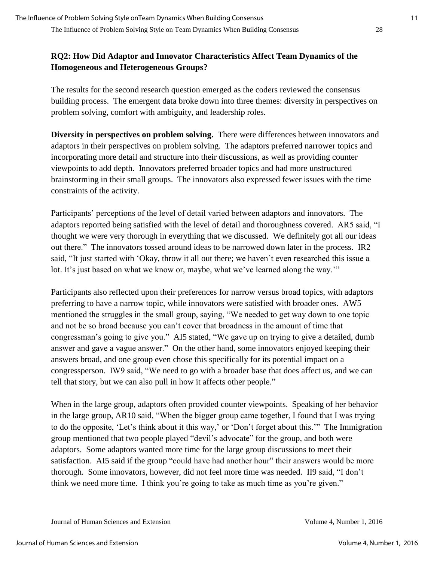# **RQ2: How Did Adaptor and Innovator Characteristics Affect Team Dynamics of the Homogeneous and Heterogeneous Groups?**

The results for the second research question emerged as the coders reviewed the consensus building process. The emergent data broke down into three themes: diversity in perspectives on problem solving, comfort with ambiguity, and leadership roles.

**Diversity in perspectives on problem solving.** There were differences between innovators and adaptors in their perspectives on problem solving. The adaptors preferred narrower topics and incorporating more detail and structure into their discussions, as well as providing counter viewpoints to add depth. Innovators preferred broader topics and had more unstructured brainstorming in their small groups. The innovators also expressed fewer issues with the time constraints of the activity.

Participants' perceptions of the level of detail varied between adaptors and innovators. The adaptors reported being satisfied with the level of detail and thoroughness covered. AR5 said, "I thought we were very thorough in everything that we discussed. We definitely got all our ideas out there." The innovators tossed around ideas to be narrowed down later in the process. IR2 said, "It just started with 'Okay, throw it all out there; we haven't even researched this issue a lot. It's just based on what we know or, maybe, what we've learned along the way.'"

Participants also reflected upon their preferences for narrow versus broad topics, with adaptors preferring to have a narrow topic, while innovators were satisfied with broader ones. AW5 mentioned the struggles in the small group, saying, "We needed to get way down to one topic and not be so broad because you can't cover that broadness in the amount of time that congressman's going to give you." AI5 stated, "We gave up on trying to give a detailed, dumb answer and gave a vague answer." On the other hand, some innovators enjoyed keeping their answers broad, and one group even chose this specifically for its potential impact on a congressperson. IW9 said, "We need to go with a broader base that does affect us, and we can tell that story, but we can also pull in how it affects other people."

When in the large group, adaptors often provided counter viewpoints. Speaking of her behavior in the large group, AR10 said, "When the bigger group came together, I found that I was trying to do the opposite, 'Let's think about it this way,' or 'Don't forget about this.'" The Immigration group mentioned that two people played "devil's advocate" for the group, and both were adaptors. Some adaptors wanted more time for the large group discussions to meet their satisfaction. AI5 said if the group "could have had another hour" their answers would be more thorough. Some innovators, however, did not feel more time was needed. II9 said, "I don't think we need more time. I think you're going to take as much time as you're given."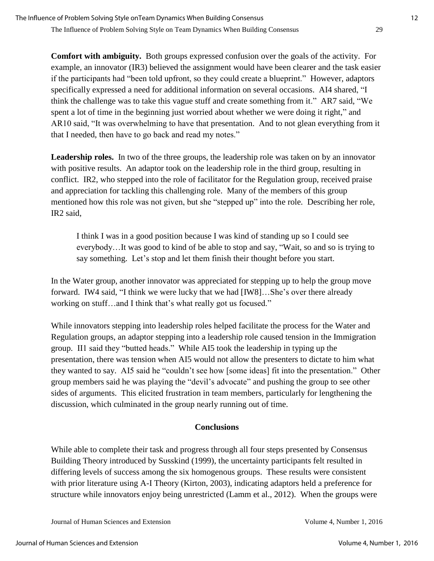**Comfort with ambiguity.** Both groups expressed confusion over the goals of the activity. For example, an innovator (IR3) believed the assignment would have been clearer and the task easier if the participants had "been told upfront, so they could create a blueprint." However, adaptors specifically expressed a need for additional information on several occasions. AI4 shared, "I think the challenge was to take this vague stuff and create something from it." AR7 said, "We spent a lot of time in the beginning just worried about whether we were doing it right," and AR10 said, "It was overwhelming to have that presentation. And to not glean everything from it that I needed, then have to go back and read my notes."

**Leadership roles.** In two of the three groups, the leadership role was taken on by an innovator with positive results. An adaptor took on the leadership role in the third group, resulting in conflict. IR2, who stepped into the role of facilitator for the Regulation group, received praise and appreciation for tackling this challenging role. Many of the members of this group mentioned how this role was not given, but she "stepped up" into the role. Describing her role, IR2 said,

I think I was in a good position because I was kind of standing up so I could see everybody…It was good to kind of be able to stop and say, "Wait, so and so is trying to say something. Let's stop and let them finish their thought before you start.

In the Water group, another innovator was appreciated for stepping up to help the group move forward. IW4 said, "I think we were lucky that we had [IW8]…She's over there already working on stuff…and I think that's what really got us focused."

While innovators stepping into leadership roles helped facilitate the process for the Water and Regulation groups, an adaptor stepping into a leadership role caused tension in the Immigration group. II1 said they "butted heads." While AI5 took the leadership in typing up the presentation, there was tension when AI5 would not allow the presenters to dictate to him what they wanted to say. AI5 said he "couldn't see how [some ideas] fit into the presentation." Other group members said he was playing the "devil's advocate" and pushing the group to see other sides of arguments. This elicited frustration in team members, particularly for lengthening the discussion, which culminated in the group nearly running out of time.

# **Conclusions**

While able to complete their task and progress through all four steps presented by Consensus Building Theory introduced by Susskind (1999), the uncertainty participants felt resulted in differing levels of success among the six homogenous groups. These results were consistent with prior literature using A-I Theory (Kirton, 2003), indicating adaptors held a preference for structure while innovators enjoy being unrestricted (Lamm et al., 2012). When the groups were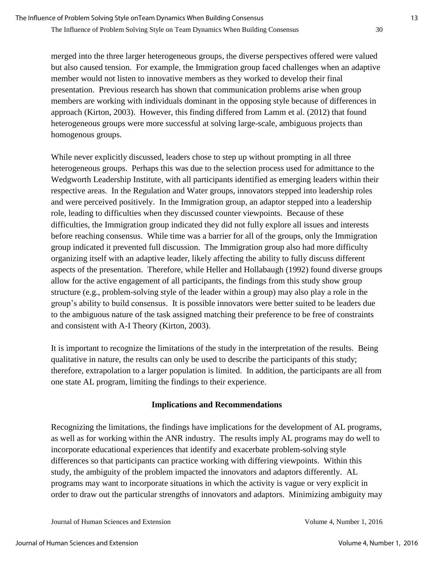merged into the three larger heterogeneous groups, the diverse perspectives offered were valued but also caused tension. For example, the Immigration group faced challenges when an adaptive member would not listen to innovative members as they worked to develop their final presentation. Previous research has shown that communication problems arise when group members are working with individuals dominant in the opposing style because of differences in approach (Kirton, 2003). However, this finding differed from Lamm et al. (2012) that found heterogeneous groups were more successful at solving large-scale, ambiguous projects than homogenous groups.

While never explicitly discussed, leaders chose to step up without prompting in all three heterogeneous groups. Perhaps this was due to the selection process used for admittance to the Wedgworth Leadership Institute, with all participants identified as emerging leaders within their respective areas. In the Regulation and Water groups, innovators stepped into leadership roles and were perceived positively. In the Immigration group, an adaptor stepped into a leadership role, leading to difficulties when they discussed counter viewpoints. Because of these difficulties, the Immigration group indicated they did not fully explore all issues and interests before reaching consensus. While time was a barrier for all of the groups, only the Immigration group indicated it prevented full discussion. The Immigration group also had more difficulty organizing itself with an adaptive leader, likely affecting the ability to fully discuss different aspects of the presentation. Therefore, while Heller and Hollabaugh (1992) found diverse groups allow for the active engagement of all participants, the findings from this study show group structure (e.g., problem-solving style of the leader within a group) may also play a role in the group's ability to build consensus. It is possible innovators were better suited to be leaders due to the ambiguous nature of the task assigned matching their preference to be free of constraints and consistent with A-I Theory (Kirton, 2003).

It is important to recognize the limitations of the study in the interpretation of the results. Being qualitative in nature, the results can only be used to describe the participants of this study; therefore, extrapolation to a larger population is limited. In addition, the participants are all from one state AL program, limiting the findings to their experience.

# **Implications and Recommendations**

Recognizing the limitations, the findings have implications for the development of AL programs, as well as for working within the ANR industry. The results imply AL programs may do well to incorporate educational experiences that identify and exacerbate problem-solving style differences so that participants can practice working with differing viewpoints. Within this study, the ambiguity of the problem impacted the innovators and adaptors differently. AL programs may want to incorporate situations in which the activity is vague or very explicit in order to draw out the particular strengths of innovators and adaptors. Minimizing ambiguity may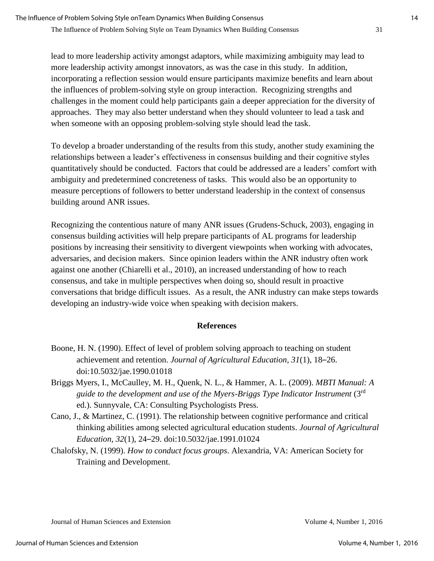lead to more leadership activity amongst adaptors, while maximizing ambiguity may lead to more leadership activity amongst innovators, as was the case in this study. In addition, incorporating a reflection session would ensure participants maximize benefits and learn about the influences of problem-solving style on group interaction. Recognizing strengths and challenges in the moment could help participants gain a deeper appreciation for the diversity of approaches. They may also better understand when they should volunteer to lead a task and when someone with an opposing problem-solving style should lead the task.

To develop a broader understanding of the results from this study, another study examining the relationships between a leader's effectiveness in consensus building and their cognitive styles quantitatively should be conducted. Factors that could be addressed are a leaders' comfort with ambiguity and predetermined concreteness of tasks. This would also be an opportunity to measure perceptions of followers to better understand leadership in the context of consensus building around ANR issues.

Recognizing the contentious nature of many ANR issues (Grudens-Schuck, 2003), engaging in consensus building activities will help prepare participants of AL programs for leadership positions by increasing their sensitivity to divergent viewpoints when working with advocates, adversaries, and decision makers. Since opinion leaders within the ANR industry often work against one another (Chiarelli et al., 2010), an increased understanding of how to reach consensus, and take in multiple perspectives when doing so, should result in proactive conversations that bridge difficult issues. As a result, the ANR industry can make steps towards developing an industry-wide voice when speaking with decision makers.

## **References**

- Boone, H. N. (1990). Effect of level of problem solving approach to teaching on student achievement and retention. *Journal of Agricultural Education, 31*(1), 18–26. doi:10.5032/jae.1990.01018
- Briggs Myers, I., McCaulley, M. H., Quenk, N. L., & Hammer, A. L. (2009). *MBTI Manual: A guide to the development and use of the Myers-Briggs Type Indicator Instrument* (3rd ed.). Sunnyvale, CA: Consulting Psychologists Press.
- Cano, J., & Martinez, C. (1991). The relationship between cognitive performance and critical thinking abilities among selected agricultural education students. *Journal of Agricultural Education, 32*(1), 24–29. doi:10.5032/jae.1991.01024
- Chalofsky, N. (1999). *How to conduct focus groups*. Alexandria, VA: American Society for Training and Development.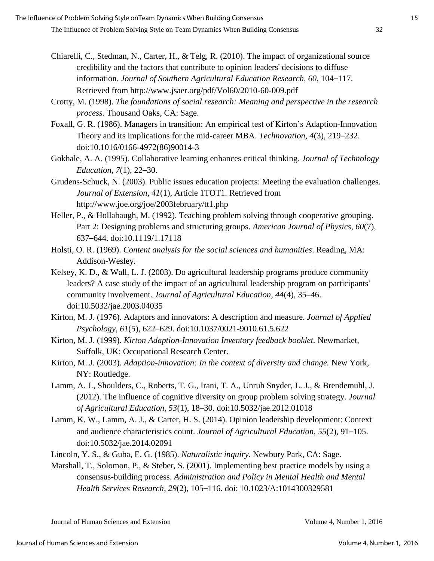- Chiarelli, C., Stedman, N., Carter, H., & Telg, R. (2010). The impact of organizational source credibility and the factors that contribute to opinion leaders' decisions to diffuse information. *Journal of Southern Agricultural Education Research, 60*, 104–117. Retrieved from http://www.jsaer.org/pdf/Vol60/2010-60-009.pdf
- Crotty, M. (1998). *The foundations of social research: Meaning and perspective in the research process.* Thousand Oaks, CA: Sage.
- Foxall, G. R. (1986). Managers in transition: An empirical test of Kirton's Adaption-Innovation Theory and its implications for the mid-career MBA. *Technovation, 4*(3), 219–232. doi:10.1016/0166-4972(86)90014-3
- Gokhale, A. A. (1995). Collaborative learning enhances critical thinking. *Journal of Technology Education, 7*(1), 22–30.
- Grudens-Schuck, N. (2003). Public issues education projects: Meeting the evaluation challenges. *Journal of Extension, 41*(1), Article 1TOT1. Retrieved from http://www.joe.org/joe/2003february/tt1.php
- Heller, P., & Hollabaugh, M. (1992). Teaching problem solving through cooperative grouping. Part 2: Designing problems and structuring groups. *American Journal of Physics, 60*(7), 637–644. doi:10.1119/1.17118
- Holsti, O. R. (1969). *Content analysis for the social sciences and humanities*. Reading, MA: Addison-Wesley.
- Kelsey, K. D., & Wall, L. J. (2003). Do agricultural leadership programs produce community leaders? A case study of the impact of an agricultural leadership program on participants' community involvement. *Journal of Agricultural Education, 44*(4), 35–46. doi:10.5032/jae.2003.04035
- Kirton, M. J. (1976). Adaptors and innovators: A description and measure. *Journal of Applied Psychology*, *61*(5), 622–629. doi:10.1037/0021-9010.61.5.622
- Kirton, M. J. (1999). *Kirton Adaption-Innovation Inventory feedback booklet.* Newmarket, Suffolk, UK: Occupational Research Center.
- Kirton, M. J. (2003). *Adaption-innovation: In the context of diversity and change.* New York, NY: Routledge.
- Lamm, A. J., Shoulders, C., Roberts, T. G., Irani, T. A., Unruh Snyder, L. J., & Brendemuhl, J. (2012). The influence of cognitive diversity on group problem solving strategy. *Journal of Agricultural Education, 53*(1), 18–30. doi:10.5032/jae.2012.01018
- Lamm, K. W., Lamm, A. J., & Carter, H. S. (2014). Opinion leadership development: Context and audience characteristics count. *Journal of Agricultural Education, 55*(2), 91–105. doi:10.5032/jae.2014.02091
- Lincoln, Y. S., & Guba, E. G. (1985). *Naturalistic inquiry*. Newbury Park, CA: Sage.
- Marshall, T., Solomon, P., & Steber, S. (2001). Implementing best practice models by using a consensus-building process. *Administration and Policy in Mental Health and Mental Health Services Research, 29*(2), 105–116. doi: 10.1023/A:1014300329581